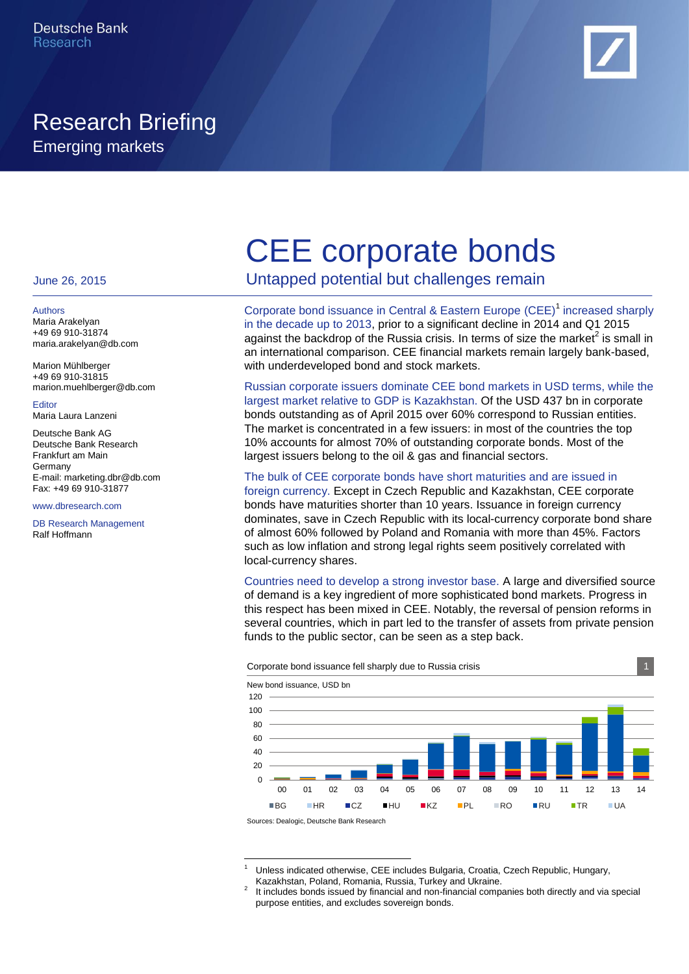

# Research Briefing Emerging markets

#### June 26, 2015

#### Authors

Maria Arakelyan +49 69 910-31874 maria.arakelyan@db.com

Marion Mühlberger +49 69 910-31815 marion.muehlberger@db.com

Editor Maria Laura Lanzeni

Deutsche Bank AG Deutsche Bank Research Frankfurt am Main Germany E-mail: marketing.dbr@db.com Fax: +49 69 910-31877

#### www.dbresearch.com

DB Research Management Ralf Hoffmann

# CEE corporate bonds

Untapped potential but challenges remain

Corporate bond issuance in Central & Eastern Europe (CEE)<sup>1</sup> increased sharply in the decade up to 2013, prior to a significant decline in 2014 and Q1 2015 against the backdrop of the Russia crisis. In terms of size the market $^2$  is small in an international comparison. CEE financial markets remain largely bank-based, with underdeveloped bond and stock markets.

Russian corporate issuers dominate CEE bond markets in USD terms, while the largest market relative to GDP is Kazakhstan. Of the USD 437 bn in corporate bonds outstanding as of April 2015 over 60% correspond to Russian entities. The market is concentrated in a few issuers: in most of the countries the top 10% accounts for almost 70% of outstanding corporate bonds. Most of the largest issuers belong to the oil & gas and financial sectors.

## The bulk of CEE corporate bonds have short maturities and are issued in

foreign currency. Except in Czech Republic and Kazakhstan, CEE corporate bonds have maturities shorter than 10 years. Issuance in foreign currency dominates, save in Czech Republic with its local-currency corporate bond share of almost 60% followed by Poland and Romania with more than 45%. Factors such as low inflation and strong legal rights seem positively correlated with local-currency shares.

Countries need to develop a strong investor base. A large and diversified source of demand is a key ingredient of more sophisticated bond markets. Progress in this respect has been mixed in CEE. Notably, the reversal of pension reforms in several countries, which in part led to the transfer of assets from private pension funds to the public sector, can be seen as a step back.



Sources: Dealogic, Deutsche Bank Research

-

<sup>1</sup> Unless indicated otherwise, CEE includes Bulgaria, Croatia, Czech Republic, Hungary, Kazakhstan, Poland, Romania, Russia, Turkey and Ukraine.

<sup>2</sup> It includes bonds issued by financial and non-financial companies both directly and via special purpose entities, and excludes sovereign bonds.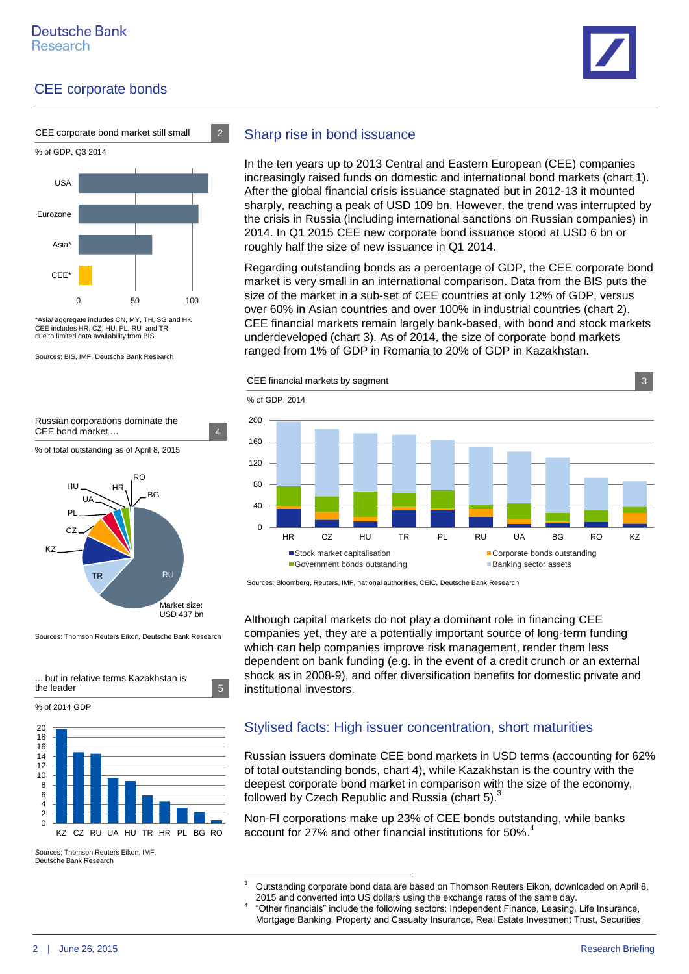





% of GDP, Q3 2014



\*Asia/ aggregate includes CN, MY, TH, SG and HK CEE includes HR, CZ, HU, PL, RU and TR due to limited data availability from BIS.

Sources: BIS, IMF, Deutsche Bank Research



% of total outstanding as of April 8, 2015



Sources: Thomson Reuters Eikon, Deutsche Bank Research



% of 2014 GDP



Sources: Thomson Reuters Eikon, IMF, Deutsche Bank Research

## Sharp rise in bond issuance

In the ten years up to 2013 Central and Eastern European (CEE) companies increasingly raised funds on domestic and international bond markets (chart 1). After the global financial crisis issuance stagnated but in 2012-13 it mounted sharply, reaching a peak of USD 109 bn. However, the trend was interrupted by the crisis in Russia (including international sanctions on Russian companies) in 2014. In Q1 2015 CEE new corporate bond issuance stood at USD 6 bn or roughly half the size of new issuance in Q1 2014.

Regarding outstanding bonds as a percentage of GDP, the CEE corporate bond market is very small in an international comparison. Data from the BIS puts the size of the market in a sub-set of CEE countries at only 12% of GDP, versus over 60% in Asian countries and over 100% in industrial countries (chart 2). CEE financial markets remain largely bank-based, with bond and stock markets underdeveloped (chart 3). As of 2014, the size of corporate bond markets ranged from 1% of GDP in Romania to 20% of GDP in Kazakhstan.





Sources: Bloomberg, Reuters, IMF, national authorities, CEIC, Deutsche Bank Research

Although capital markets do not play a dominant role in financing CEE companies yet, they are a potentially important source of long-term funding which can help companies improve risk management, render them less dependent on bank funding (e.g. in the event of a credit crunch or an external shock as in 2008-9), and offer diversification benefits for domestic private and institutional investors.

## Stylised facts: High issuer concentration, short maturities

Russian issuers dominate CEE bond markets in USD terms (accounting for 62% of total outstanding bonds, chart 4), while Kazakhstan is the country with the deepest corporate bond market in comparison with the size of the economy, followed by Czech Republic and Russia (chart 5).<sup>3</sup>

Non-FI corporations make up 23% of CEE bonds outstanding, while banks account for 27% and other financial institutions for 50%. 4

 $\overline{3}$ Outstanding corporate bond data are based on Thomson Reuters Eikon, downloaded on April 8, 2015 and converted into US dollars using the exchange rates of the same day. 4

<sup>&</sup>quot;Other financials" include the following sectors: Independent Finance, Leasing, Life Insurance, Mortgage Banking, Property and Casualty Insurance, Real Estate Investment Trust, Securities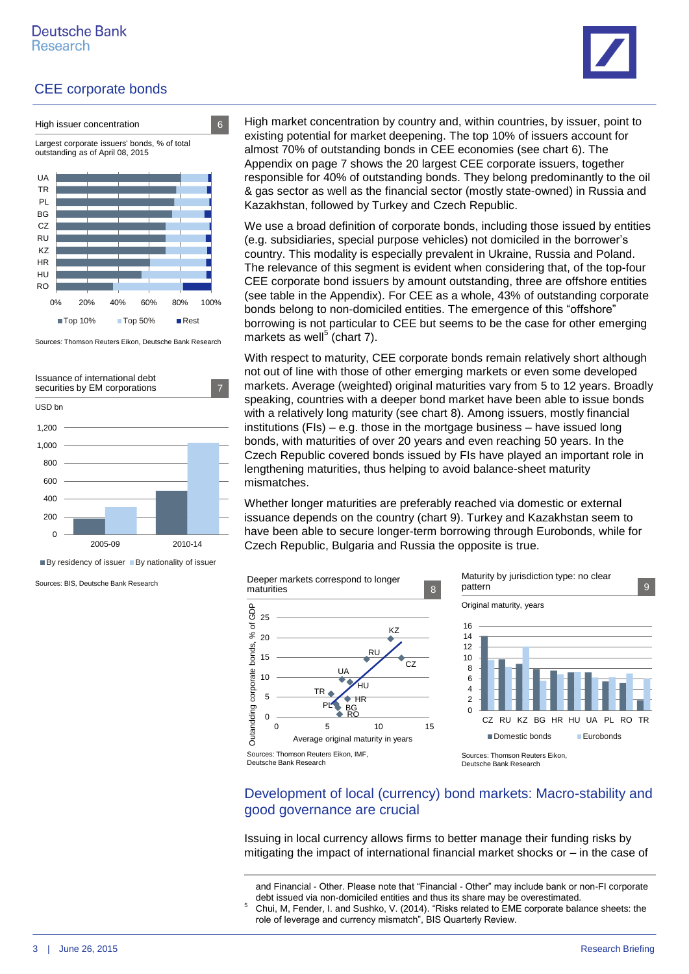

■Top 10% ■Top 50% ■ Rest Sources: Thomson Reuters Eikon, Deutsche Bank Research

0% 20% 40% 60% 80% 100%



 $\blacksquare$  By residency of issuer  $\blacksquare$  By nationality of issuer

-

Sources: BIS, Deutsche Bank Research

High market concentration by country and, within countries, by issuer, point to existing potential for market deepening. The top 10% of issuers account for almost 70% of outstanding bonds in CEE economies (see chart 6). The Appendix on page 7 shows the 20 largest CEE corporate issuers, together responsible for 40% of outstanding bonds. They belong predominantly to the oil & gas sector as well as the financial sector (mostly state-owned) in Russia and Kazakhstan, followed by Turkey and Czech Republic.

We use a broad definition of corporate bonds, including those issued by entities (e.g. subsidiaries, special purpose vehicles) not domiciled in the borrower's country. This modality is especially prevalent in Ukraine, Russia and Poland. The relevance of this segment is evident when considering that, of the top-four CEE corporate bond issuers by amount outstanding, three are offshore entities (see table in the Appendix). For CEE as a whole, 43% of outstanding corporate bonds belong to non-domiciled entities. The emergence of this "offshore" borrowing is not particular to CEE but seems to be the case for other emerging markets as well<sup>5</sup> (chart 7).

With respect to maturity, CEE corporate bonds remain relatively short although not out of line with those of other emerging markets or even some developed markets. Average (weighted) original maturities vary from 5 to 12 years. Broadly speaking, countries with a deeper bond market have been able to issue bonds with a relatively long maturity (see chart 8). Among issuers, mostly financial institutions (FIs) – e.g. those in the mortgage business – have issued long bonds, with maturities of over 20 years and even reaching 50 years. In the Czech Republic covered bonds issued by FIs have played an important role in lengthening maturities, thus helping to avoid balance-sheet maturity mismatches.

Whether longer maturities are preferably reached via domestic or external issuance depends on the country (chart 9). Turkey and Kazakhstan seem to have been able to secure longer-term borrowing through Eurobonds, while for Czech Republic, Bulgaria and Russia the opposite is true.



## Development of local (currency) bond markets: Macro-stability and good governance are crucial

Issuing in local currency allows firms to better manage their funding risks by mitigating the impact of international financial market shocks or – in the case of

role of leverage and currency mismatch", BIS Quarterly Review.

and Financial - Other. Please note that "Financial - Other" may include bank or non-FI corporate debt issued via non-domiciled entities and thus its share may be overestimated. <sup>5</sup> Chui, M, Fender, I. and Sushko, V. (2014). "Risks related to EME corporate balance sheets: the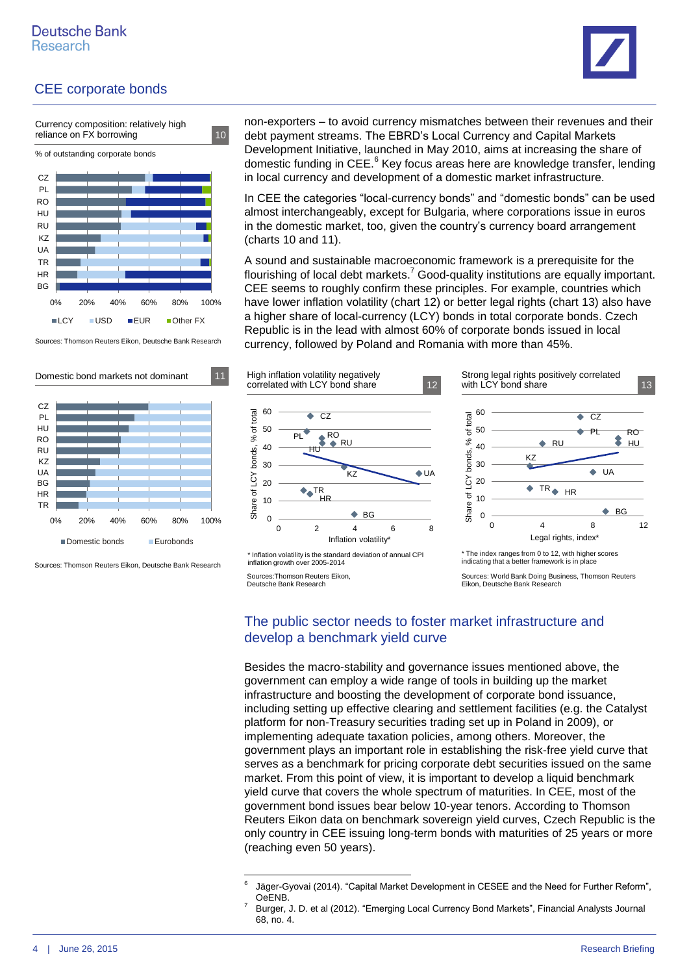

% of outstanding corporate bonds Currency composition: relatively high reliance on FX borrowing 10



Sources: Thomson Reuters Eikon, Deutsche Bank Research



Sources: Thomson Reuters Eikon, Deutsche Bank Research

non-exporters – to avoid currency mismatches between their revenues and their debt payment streams. The EBRD's Local Currency and Capital Markets Development Initiative, launched in May 2010, aims at increasing the share of domestic funding in CEE.<sup>6</sup> Key focus areas here are knowledge transfer, lending in local currency and development of a domestic market infrastructure.

In CEE the categories "local-currency bonds" and "domestic bonds" can be used almost interchangeably, except for Bulgaria, where corporations issue in euros in the domestic market, too, given the country's currency board arrangement (charts 10 and 11).

A sound and sustainable macroeconomic framework is a prerequisite for the flourishing of local debt markets.<sup>7</sup> Good-quality institutions are equally important. CEE seems to roughly confirm these principles. For example, countries which have lower inflation volatility (chart 12) or better legal rights (chart 13) also have a higher share of local-currency (LCY) bonds in total corporate bonds. Czech Republic is in the lead with almost 60% of corporate bonds issued in local currency, followed by Poland and Romania with more than 45%.



<sup>\*</sup> Inflation volatility is the standard deviation of annual CPI inflation growth over 2005-2014 Sources:Thomson Reuters Eikon,



\* The index ranges from 0 to 12, with higher scores indicating that a better framework is in place

Sources: World Bank Doing Business, Thomson Reuters Eikon, Deutsche Bank Research

# The public sector needs to foster market infrastructure and develop a benchmark yield curve

Besides the macro-stability and governance issues mentioned above, the government can employ a wide range of tools in building up the market infrastructure and boosting the development of corporate bond issuance, including setting up effective clearing and settlement facilities (e.g. the Catalyst platform for non-Treasury securities trading set up in Poland in 2009), or implementing adequate taxation policies, among others. Moreover, the government plays an important role in establishing the risk-free yield curve that serves as a benchmark for pricing corporate debt securities issued on the same market. From this point of view, it is important to develop a liquid benchmark yield curve that covers the whole spectrum of maturities. In CEE, most of the government bond issues bear below 10-year tenors. According to Thomson Reuters Eikon data on benchmark sovereign yield curves, Czech Republic is the only country in CEE issuing long-term bonds with maturities of 25 years or more (reaching even 50 years).

Deutsche Bank Research

<sup>-&</sup>lt;br>6 Jäger-Gyovai (2014). "Capital Market Development in CESEE and the Need for Further Reform", OeENB.

<sup>7</sup> Burger, J. D. et al (2012). "Emerging Local Currency Bond Markets", Financial Analysts Journal 68, no. 4.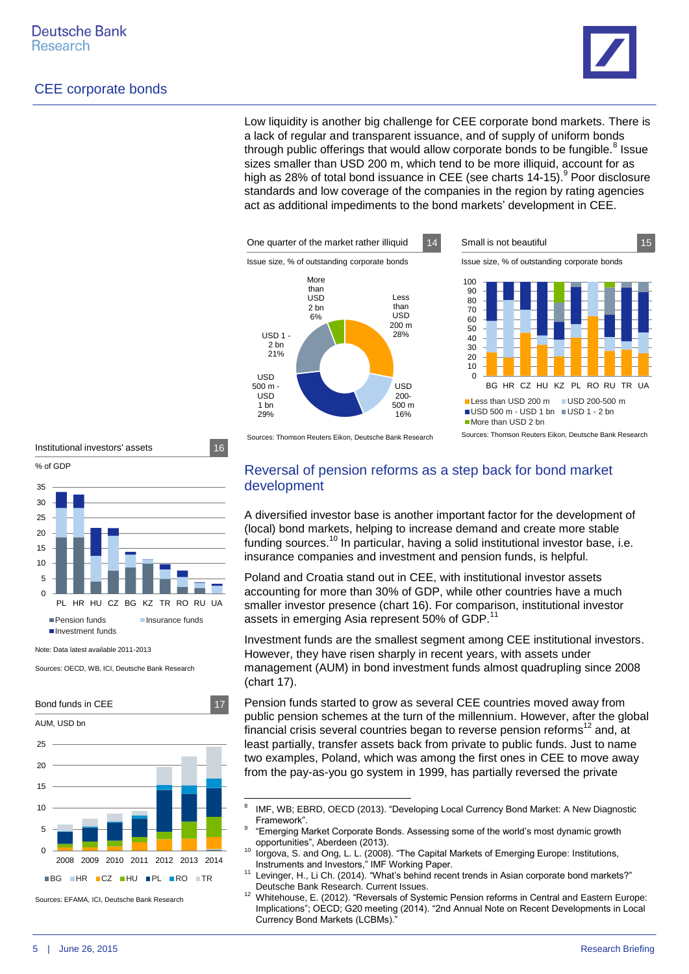

Low liquidity is another big challenge for CEE corporate bond markets. There is a lack of regular and transparent issuance, and of supply of uniform bonds through public offerings that would allow corporate bonds to be fungible.<sup>8</sup> Issue sizes smaller than USD 200 m, which tend to be more illiquid, account for as high as 28% of total bond issuance in CEE (see charts 14-15).<sup>9</sup> Poor disclosure standards and low coverage of the companies in the region by rating agencies act as additional impediments to the bond markets' development in CEE.





Issue size, % of outstanding corporate bonds





Note: Data latest available 2011-2013

Sources: OECD, WB, ICI, Deutsche Bank Research



Sources: EFAMA, ICI, Deutsche Bank Research

Sources: Thomson Reuters Eikon, Deutsche Bank Research

Reversal of pension reforms as a step back for bond market

# development

A diversified investor base is another important factor for the development of (local) bond markets, helping to increase demand and create more stable funding sources.<sup>10</sup> In particular, having a solid institutional investor base, i.e. insurance companies and investment and pension funds, is helpful.

Poland and Croatia stand out in CEE, with institutional investor assets accounting for more than 30% of GDP, while other countries have a much smaller investor presence (chart 16). For comparison, institutional investor assets in emerging Asia represent 50% of GDP.<sup>11</sup>

Investment funds are the smallest segment among CEE institutional investors. However, they have risen sharply in recent years, with assets under management (AUM) in bond investment funds almost quadrupling since 2008 (chart 17).

Pension funds started to grow as several CEE countries moved away from public pension schemes at the turn of the millennium. However, after the global financial crisis several countries began to reverse pension reforms<sup>12</sup> and, at least partially, transfer assets back from private to public funds. Just to name two examples, Poland, which was among the first ones in CEE to move away from the pay-as-you go system in 1999, has partially reversed the private

<sup>-&</sup>lt;br>8 IMF, WB; EBRD, OECD (2013). "Developing Local Currency Bond Market: A New Diagnostic Framework".

<sup>9</sup> "Emerging Market Corporate Bonds. Assessing some of the world's most dynamic growth opportunities", Aberdeen (2013).

<sup>10</sup> Iorgova, S. and Ong, L. L. (2008). "The Capital Markets of Emerging Europe: Institutions, Instruments and Investors," IMF Working Paper. <sup>11</sup> Levinger, H., Li Ch. (2014). "What's behind recent trends in Asian corporate bond markets?"

Deutsche Bank Research. Current Issues.

<sup>12</sup> Whitehouse, E. (2012). "Reversals of Systemic Pension reforms in Central and Eastern Europe: Implications"; OECD; G20 meeting (2014). "2nd Annual Note on Recent Developments in Local Currency Bond Markets (LCBMs)."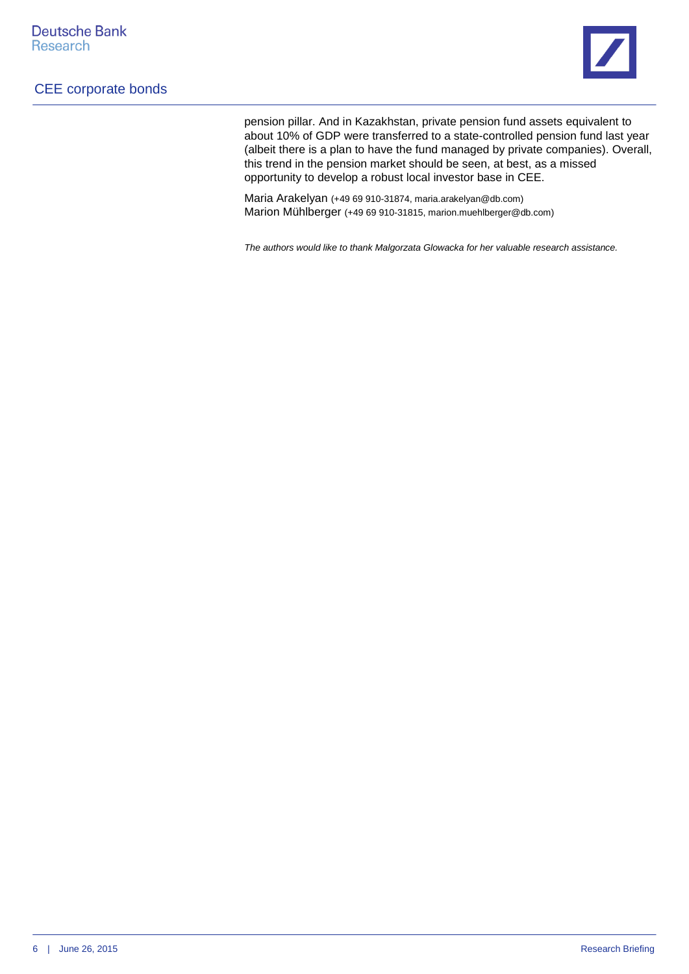

pension pillar. And in Kazakhstan, private pension fund assets equivalent to about 10% of GDP were transferred to a state-controlled pension fund last year (albeit there is a plan to have the fund managed by private companies). Overall, this trend in the pension market should be seen, at best, as a missed opportunity to develop a robust local investor base in CEE.

Maria Arakelyan (+49 69 910-31874, maria.arakelyan@db.com) Marion Mühlberger (+49 69 910-31815, marion.muehlberger@db.com)

*The authors would like to thank Malgorzata Glowacka for her valuable research assistance.*